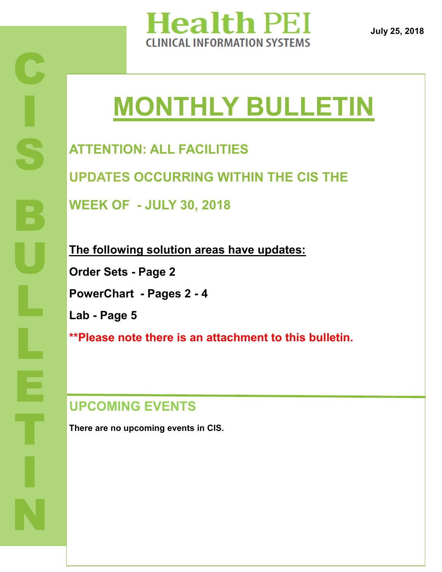

**July 25, 2018**

# **MONTHLY BULLETIN**

**ATTENTION: ALL FACILITIES UPDATES OCCURRING WITHIN THE CIS THE WEEK OF - JULY 30, 2018**

**The following solution areas have updates: Order Sets - Page 2 PowerChart - Pages 2 - 4 Lab - Page 5 \*\*Please note there is an attachment to this bulletin.**

# **UPCOMING EVENTS**

**There are no upcoming events in CIS.**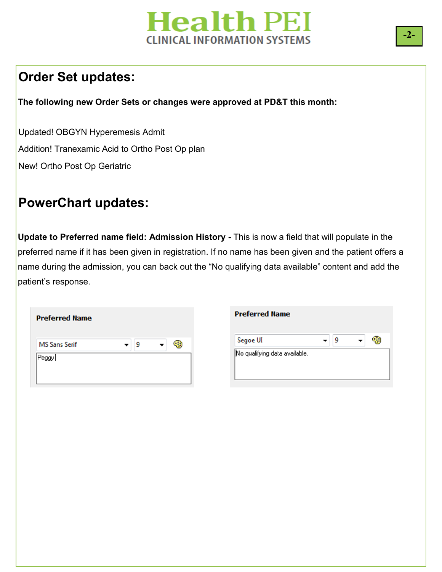# **Health PEI CLINICAL INFORMATION SYSTEMS**

### **Order Set updates:**

**The following new Order Sets or changes were approved at PD&T this month:**

Updated! OBGYN Hyperemesis Admit Addition! Tranexamic Acid to Ortho Post Op plan New! Ortho Post Op Geriatric

#### **PowerChart updates:**

**Update to Preferred name field: Admission History -** This is now a field that will populate in the preferred name if it has been given in registration. If no name has been given and the patient offers a name during the admission, you can back out the "No qualifying data available" content and add the patient's response.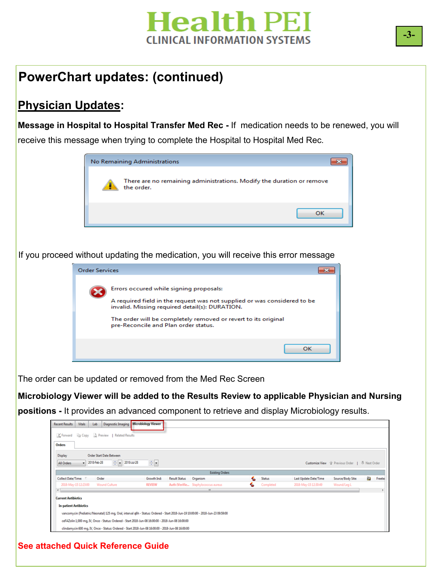

## **PowerChart updates: (continued)**

#### **Physician Updates:**

**Message in Hospital to Hospital Transfer Med Rec -** If medication needs to be renewed, you will receive this message when trying to complete the Hospital to Hospital Med Rec.



If you proceed without updating the medication, you will receive this error message



The order can be updated or removed from the Med Rec Screen

**Microbiology Viewer will be added to the Results Review to applicable Physician and Nursing** 

**positions -** It provides an advanced component to retrieve and display Microbiology results.

| Diagnostic Imaging<br>Vitals<br>Lab<br><b>Recent Results</b>                                                                                       | <b>Microbiology Viewer</b>                                                                         |                                     |                    |                       |                   |      |        |  |  |
|----------------------------------------------------------------------------------------------------------------------------------------------------|----------------------------------------------------------------------------------------------------|-------------------------------------|--------------------|-----------------------|-------------------|------|--------|--|--|
| Forward In Copy & Preview   Related Results<br>Orders                                                                                              |                                                                                                    |                                     |                    |                       |                   |      |        |  |  |
| Order Start Date Between<br>Display<br>종물<br>÷.<br>2018-Jul-28<br>2018-Feb-28<br>÷<br>Customize View 企 Previous Order   - Next Order<br>All Orders |                                                                                                    |                                     |                    |                       |                   |      |        |  |  |
|                                                                                                                                                    |                                                                                                    | <b>Existing Orders</b>              |                    |                       |                   |      |        |  |  |
| Collect Date/Time:<br>Order                                                                                                                        | Growth Ind:<br><b>Result Status</b>                                                                | Organism                            | <b>Status</b><br>€ | Last Update Date/Time | Source/Body Site: | ana. | Freete |  |  |
| 2018-May-15 12:23:00<br><b>Wound Culture</b>                                                                                                       | <b>REVIEW</b>                                                                                      | Auth (Verifie Staphylococcus aureus | Completed<br>௷     | 2018-May-15 12:30:49  | Wound/Leg L       |      |        |  |  |
| $\epsilon$                                                                                                                                         |                                                                                                    | m.                                  |                    |                       |                   |      |        |  |  |
| <b>Current Antibiotics</b>                                                                                                                         |                                                                                                    |                                     |                    |                       |                   |      |        |  |  |
| <b>In-patient Antibiotics</b>                                                                                                                      |                                                                                                    |                                     |                    |                       |                   |      |        |  |  |
| vancomycin (Pediatric/Neonatal) 125 mg, Oral, interval q6h - Status: Ordered - Start 2018-Jun-19 10:00:00 - 2018-Jun-23 09:59:00                   |                                                                                                    |                                     |                    |                       |                   |      |        |  |  |
| ceFAZolin 1,000 mq, IV, Once - Status: Ordered - Start 2018-Jun-08 16:00:00 - 2018-Jun-08 16:00:00                                                 |                                                                                                    |                                     |                    |                       |                   |      |        |  |  |
|                                                                                                                                                    | clindamycin 600 mq, IV, Once - Status: Ordered - Start 2018-Jun-08 16:00:00 - 2018-Jun-08 16:00:00 |                                     |                    |                       |                   |      |        |  |  |

**See attached Quick Reference Guide**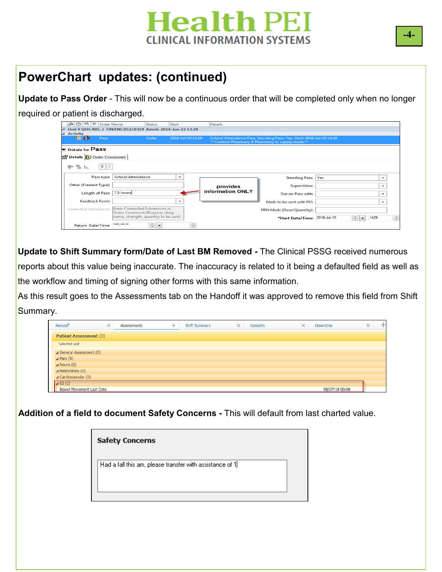# **Health PEI CLINICAL INFORMATION SYSTEMS**

# **PowerChart updates: (continued)**

**Update to Pass Order** - This will now be a continuous order that will be completed only when no longer

required or patient is discharged.

| ふ ⑦ 吗   ♡   Order Name                                            |                                                                        | <b>Status</b><br>Start |                   | <b>Details</b>          |                                                                                                                           |     |                                       |   |
|-------------------------------------------------------------------|------------------------------------------------------------------------|------------------------|-------------------|-------------------------|---------------------------------------------------------------------------------------------------------------------------|-----|---------------------------------------|---|
| Unit 8 QEH; 805; 2 FIN/ENC:05210319 Admit: 2018-Jun-22 13:28<br>⊿ |                                                                        |                        |                   |                         |                                                                                                                           |     |                                       |   |
| <b>Activity</b><br>$\blacktriangle$                               |                                                                        |                        |                   |                         |                                                                                                                           |     |                                       |   |
| F<br>Pass<br>H                                                    |                                                                        | Order                  | 2018-Jul-10 14:29 |                         | School Attendance Pass, Standing Pass: Yes, Start: 2018-Jul-10 14:29<br>** Contact Pharmacy if Pharmacy to supply meds.** |     |                                       |   |
| $\bullet$ Details for <b>Pass</b>                                 |                                                                        |                        |                   |                         |                                                                                                                           |     |                                       |   |
| Details <b>(F)</b> Order Comments                                 |                                                                        |                        |                   |                         |                                                                                                                           |     |                                       |   |
| $  \cdot   \times$<br>÷.<br>llu.                                  |                                                                        |                        |                   |                         |                                                                                                                           |     |                                       |   |
| Pass type:                                                        | <b>School Attendance</b>                                               |                        | $\checkmark$      |                         | <b>Standing Pass:</b>                                                                                                     | Yes | $\checkmark$                          |   |
| Other (Freetext Type):                                            |                                                                        |                        |                   | provides                | Supervision:                                                                                                              |     | $\checkmark$                          |   |
| Length of Pass:                                                   | 7.5 hours                                                              |                        |                   | <b>information ONLY</b> | Out on Pass with:                                                                                                         |     | $\checkmark$                          |   |
| <b>Feedback Form:</b>                                             |                                                                        |                        | $\checkmark$      |                         | Meds to be sent with Pt?:                                                                                                 |     | $\checkmark$                          |   |
| Controlled Substances:                                            | <b>Enter Controlled Substances in</b><br>Order Comments (Requires drug |                        |                   |                         | PRN Meds (Dose/Quantity):                                                                                                 |     |                                       |   |
|                                                                   | name, strength, quantity to be sent)                                   |                        |                   |                         | *Start Date/Time: 2018-Jul-10                                                                                             |     | 이<br>1429<br>$\overline{\phantom{a}}$ | 후 |
| Return Date/Time:                                                 |                                                                        | ≑l~                    | ÷                 |                         |                                                                                                                           |     |                                       |   |

**EL Update to Shift Summary form/Date of Last BM Removed -** The Clinical PSSG received numerous reports about this value being inaccurate. The inaccuracy is related to it being a defaulted field as well as the workflow and timing of signing other forms with this same information.

As this result goes to the Assessments tab on the Handoff it was approved to remove this field from Shift Summary.

| Handoff                             | $\times$ | Assessments | $\times$ | Shift Summary | $\times$ | Consults | $\times$<br>Downtime | × |  |
|-------------------------------------|----------|-------------|----------|---------------|----------|----------|----------------------|---|--|
| <b>Patient Assessment (3)</b>       |          |             |          |               |          |          |                      |   |  |
| Selected visit                      |          |             |          |               |          |          |                      |   |  |
| ⊿ General Assessment (0)            |          |             |          |               |          |          |                      |   |  |
| $\triangle$ Pain (0)                |          |             |          |               |          |          |                      |   |  |
| $\Delta$ Neuro (0)                  |          |             |          |               |          |          |                      |   |  |
| $\Delta$ Respiratory (0)            |          |             |          |               |          |          |                      |   |  |
| $\blacktriangle$ Cardiovascular (0) |          |             |          |               |          |          |                      |   |  |
| $\sqrt{4}$ GI(1)                    |          |             |          |               |          |          |                      |   |  |
| <b>Bowel Movement Last Date</b>     |          |             |          |               |          |          | 08/07/18 00:00       |   |  |

**Addition of a field to document Safety Concerns -** This will default from last charted value.

| <b>Safety Concerns</b>                                   |  |
|----------------------------------------------------------|--|
| Had a fall this am, please transfer with assistance of 1 |  |

**-4-**